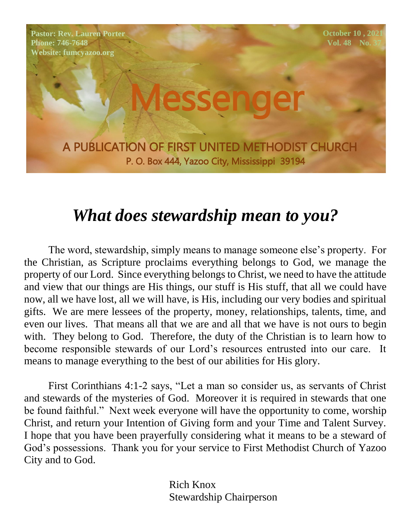**Pastor: Rev. Lauren Porter Phone: 746-7648 Website: fumcyazoo.org**

 **October 10, 2021 Vol. 48** No.

A PUBLICATION OF FIRST UNITED METHODIST CHURCH P. O. Box 444, Yazoo City, Mississippi 39194

esseng

## *What does stewardship mean to you?*

The word, stewardship, simply means to manage someone else's property. For the Christian, as Scripture proclaims everything belongs to God, we manage the property of our Lord. Since everything belongs to Christ, we need to have the attitude and view that our things are His things, our stuff is His stuff, that all we could have now, all we have lost, all we will have, is His, including our very bodies and spiritual gifts. We are mere lessees of the property, money, relationships, talents, time, and even our lives. That means all that we are and all that we have is not ours to begin with. They belong to God. Therefore, the duty of the Christian is to learn how to become responsible stewards of our Lord's resources entrusted into our care. It means to manage everything to the best of our abilities for His glory.

First Corinthians 4:1-2 says, "Let a man so consider us, as servants of Christ and stewards of the mysteries of God. Moreover it is required in stewards that one be found faithful." Next week everyone will have the opportunity to come, worship Christ, and return your Intention of Giving form and your Time and Talent Survey. I hope that you have been prayerfully considering what it means to be a steward of God's possessions. Thank you for your service to First Methodist Church of Yazoo City and to God.

> Rich Knox Stewardship Chairperson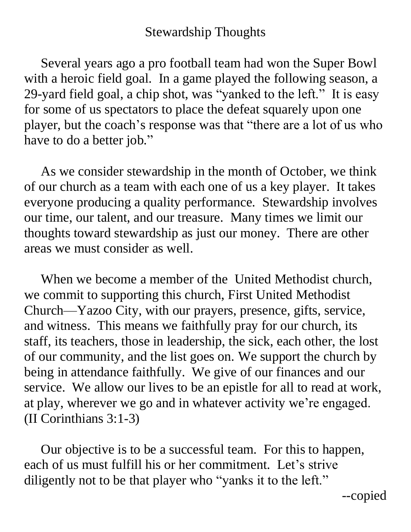#### Stewardship Thoughts

 Several years ago a pro football team had won the Super Bowl with a heroic field goal. In a game played the following season, a 29-yard field goal, a chip shot, was "yanked to the left." It is easy for some of us spectators to place the defeat squarely upon one player, but the coach's response was that "there are a lot of us who have to do a better job."

 As we consider stewardship in the month of October, we think of our church as a team with each one of us a key player. It takes everyone producing a quality performance. Stewardship involves our time, our talent, and our treasure. Many times we limit our thoughts toward stewardship as just our money. There are other areas we must consider as well.

 When we become a member of the United Methodist church, we commit to supporting this church, First United Methodist Church—Yazoo City, with our prayers, presence, gifts, service, and witness. This means we faithfully pray for our church, its staff, its teachers, those in leadership, the sick, each other, the lost of our community, and the list goes on. We support the church by being in attendance faithfully. We give of our finances and our service. We allow our lives to be an epistle for all to read at work, at play, wherever we go and in whatever activity we're engaged. (II Corinthians 3:1-3)

 Our objective is to be a successful team. For this to happen, each of us must fulfill his or her commitment. Let's strive diligently not to be that player who "yanks it to the left."

--copied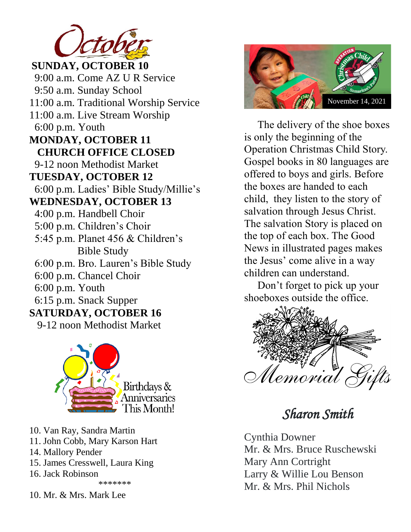

 $\textbf{SUNDAY}, \textbf{OCTOBER}\textbf{ 10}$ 9:00 a.m. Come AZ U R Service 9-12 noon Methodist Market  $TUESDAY,$  **OCTOBER** 12 6:00 p.m. Ladies' Bible Study/Millie's 9:50 a.m. Sunday School 11:00 a.m. Traditional Worship Service 11:00 a.m. Live Stream Worship 6:00 p.m. Youth **MONDAY, OCTOBER 11 CHURCH OFFICE CLOSED WEDNESDAY, OCTOBER 13** 4:00 p.m. Handbell Choir 5:00 p.m. Children's Choir 5:45 p.m. Planet 456 & Children's Bible Study 6:00 p.m. Bro. Lauren's Bible Study 6:00 p.m. Chancel Choir 6:00 p.m. Youth 6:15 p.m. Snack Supper **SATURDAY, OCTOBER 16** 9-12 noon Methodist Market



- 10. Van Ray, Sandra Martin
- 11. John Cobb, Mary Karson Hart
- 14. Mallory Pender
- 15. James Cresswell, Laura King
- 16. Jack Robinson

10. Mr. & Mrs. Mark Lee



 The delivery of the shoe boxes is only the beginning of the Operation Christmas Child Story. Gospel books in 80 languages are offered to boys and girls. Before the boxes are handed to each child, they listen to the story of salvation through Jesus Christ. The salvation Story is placed on the top of each box. The Good News in illustrated pages makes the Jesus' come alive in a way children can understand.

 Don't forget to pick up your shoeboxes outside the office.



*Sharon Smith* 

Cynthia Downer Mr. & Mrs. Bruce Ruschewski Mary Ann Cortright Larry & Willie Lou Benson Mr. & Mrs. Phil Nichols

<sup>\*\*\*\*\*\*\*</sup>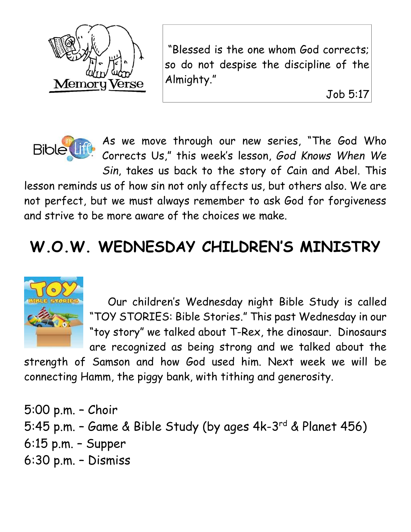

"Blessed is the one whom God corrects; so do not despise the discipline of the Almighty."

Job 5:17



As we move through our new series, "The God Who Corrects Us," this week's lesson, *God Knows When We* 

*Sin*, takes us back to the story of Cain and Abel. This lesson reminds us of how sin not only affects us, but others also. We are not perfect, but we must always remember to ask God for forgiveness and strive to be more aware of the choices we make.

# **W.O.W. WEDNESDAY CHILDREN'S MINISTRY**



 Our children's Wednesday night Bible Study is called "TOY STORIES: Bible Stories." This past Wednesday in our "toy story" we talked about T-Rex, the dinosaur. Dinosaurs are recognized as being strong and we talked about the

strength of Samson and how God used him. Next week we will be connecting Hamm, the piggy bank, with tithing and generosity.

5:00 p.m. – Choir 5:45 p.m. - Game & Bible Study (by ages 4k-3<sup>rd</sup> & Planet 456) 6:15 p.m. – Supper 6:30 p.m. – Dismiss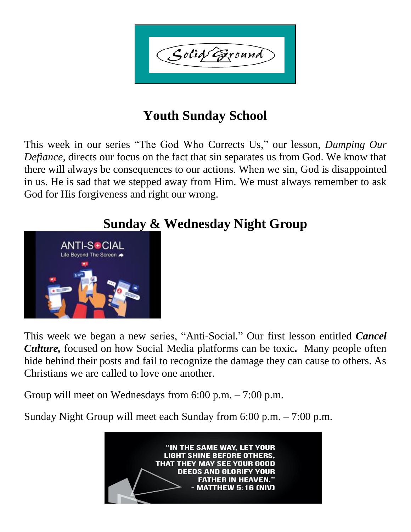Solid Exound

## **Youth Sunday School**

This week in our series "The God Who Corrects Us," our lesson, *Dumping Our Defiance*, directs our focus on the fact that sin separates us from God. We know that there will always be consequences to our actions. When we sin, God is disappointed in us. He is sad that we stepped away from Him. We must always remember to ask God for His forgiveness and right our wrong.



### **Sunday & Wednesday Night Group**

This week we began a new series, "Anti-Social." Our first lesson entitled *Cancel Culture,* focused on how Social Media platforms can be toxic*.* Many people often hide behind their posts and fail to recognize the damage they can cause to others. As Christians we are called to love one another.

Group will meet on Wednesdays from 6:00 p.m. – 7:00 p.m.

Sunday Night Group will meet each Sunday from 6:00 p.m. – 7:00 p.m.